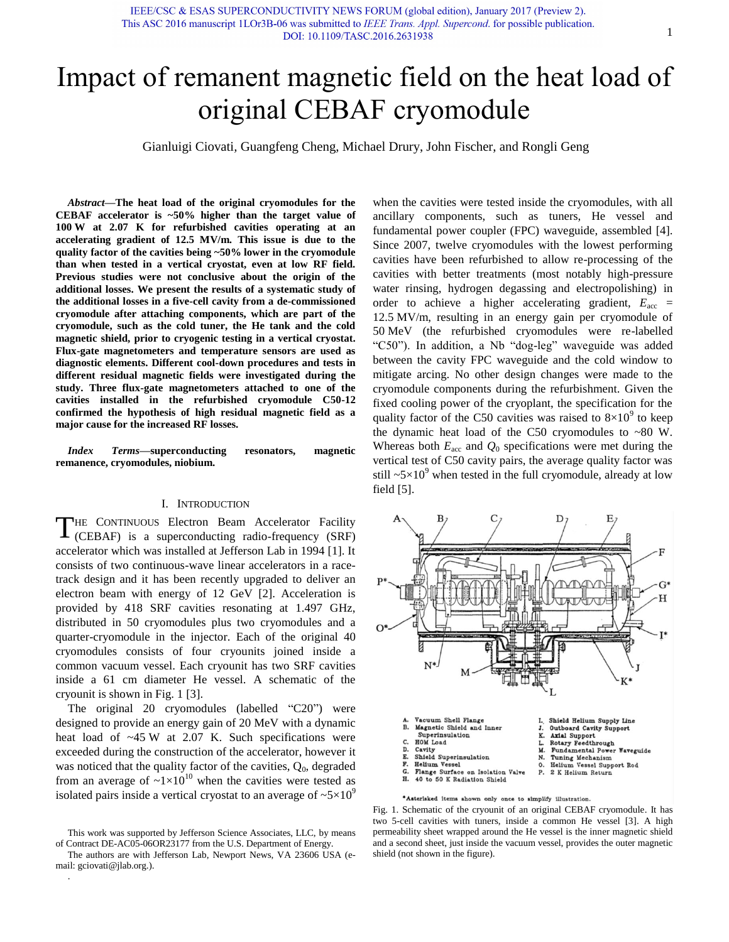Gianluigi Ciovati*,* Guangfeng Cheng, Michael Drury, John Fischer, and Rongli Geng

*Abstract***—The heat load of the original cryomodules for the CEBAF accelerator is ~50% higher than the target value of 100 W at 2.07 K for refurbished cavities operating at an accelerating gradient of 12.5 MV/m. This issue is due to the quality factor of the cavities being ~50% lower in the cryomodule than when tested in a vertical cryostat, even at low RF field. Previous studies were not conclusive about the origin of the additional losses. We present the results of a systematic study of the additional losses in a five-cell cavity from a de-commissioned cryomodule after attaching components, which are part of the cryomodule, such as the cold tuner, the He tank and the cold magnetic shield, prior to cryogenic testing in a vertical cryostat. Flux-gate magnetometers and temperature sensors are used as diagnostic elements. Different cool-down procedures and tests in different residual magnetic fields were investigated during the study. Three flux-gate magnetometers attached to one of the cavities installed in the refurbished cryomodule C50-12 confirmed the hypothesis of high residual magnetic field as a major cause for the increased RF losses.** 

*Index Terms***—superconducting resonators, magnetic remanence, cryomodules, niobium.** 

## I. INTRODUCTION

THE CONTINUOUS Electron Beam Accelerator Facility<br>(CEBAF) is a superconducting radio-frequency (SRF) (CEBAF) is a superconducting radio-frequency (SRF) accelerator which was installed at Jefferson Lab in 1994 [1]. It consists of two continuous-wave linear accelerators in a racetrack design and it has been recently upgraded to deliver an electron beam with energy of 12 GeV [2]. Acceleration is provided by 418 SRF cavities resonating at 1.497 GHz, distributed in 50 cryomodules plus two cryomodules and a quarter-cryomodule in the injector. Each of the original 40 cryomodules consists of four cryounits joined inside a common vacuum vessel. Each cryounit has two SRF cavities inside a 61 cm diameter He vessel. A schematic of the cryounit is shown in Fig. 1 [3].

The original 20 cryomodules (labelled "C20") were designed to provide an energy gain of 20 MeV with a dynamic heat load of  $-45$  W at 2.07 K. Such specifications were exceeded during the construction of the accelerator, however it was noticed that the quality factor of the cavities,  $Q_0$ , degraded from an average of  $\sim 1 \times 10^{10}$  when the cavities were tested as isolated pairs inside a vertical cryostat to an average of  $\sim 5 \times 10^9$ 

.

when the cavities were tested inside the cryomodules, with all ancillary components, such as tuners, He vessel and fundamental power coupler (FPC) waveguide, assembled [4]. Since 2007, twelve cryomodules with the lowest performing cavities have been refurbished to allow re-processing of the cavities with better treatments (most notably high-pressure water rinsing, hydrogen degassing and electropolishing) in order to achieve a higher accelerating gradient,  $E_{\text{acc}}$  = 12.5 MV/m, resulting in an energy gain per cryomodule of 50 MeV (the refurbished cryomodules were re-labelled "C50"). In addition, a Nb "dog-leg" waveguide was added between the cavity FPC waveguide and the cold window to mitigate arcing. No other design changes were made to the cryomodule components during the refurbishment. Given the fixed cooling power of the cryoplant, the specification for the quality factor of the C50 cavities was raised to  $8\times10^{9}$  to keep the dynamic heat load of the C50 cryomodules to ~80 W. Whereas both  $E_{\text{acc}}$  and  $Q_0$  specifications were met during the vertical test of C50 cavity pairs, the average quality factor was still  $\sim 5 \times 10^9$  when tested in the full cryomodule, already at low field [5].



Fig. 1. Schematic of the cryounit of an original CEBAF cryomodule. It has two 5-cell cavities with tuners, inside a common He vessel [3]. A high permeability sheet wrapped around the He vessel is the inner magnetic shield and a second sheet, just inside the vacuum vessel, provides the outer magnetic shield (not shown in the figure).

This work was supported by Jefferson Science Associates, LLC, by means of Contract DE-AC05-06OR23177 from the U.S. Department of Energy.

The authors are with Jefferson Lab, Newport News, VA 23606 USA (email: gciovati@jlab.org.).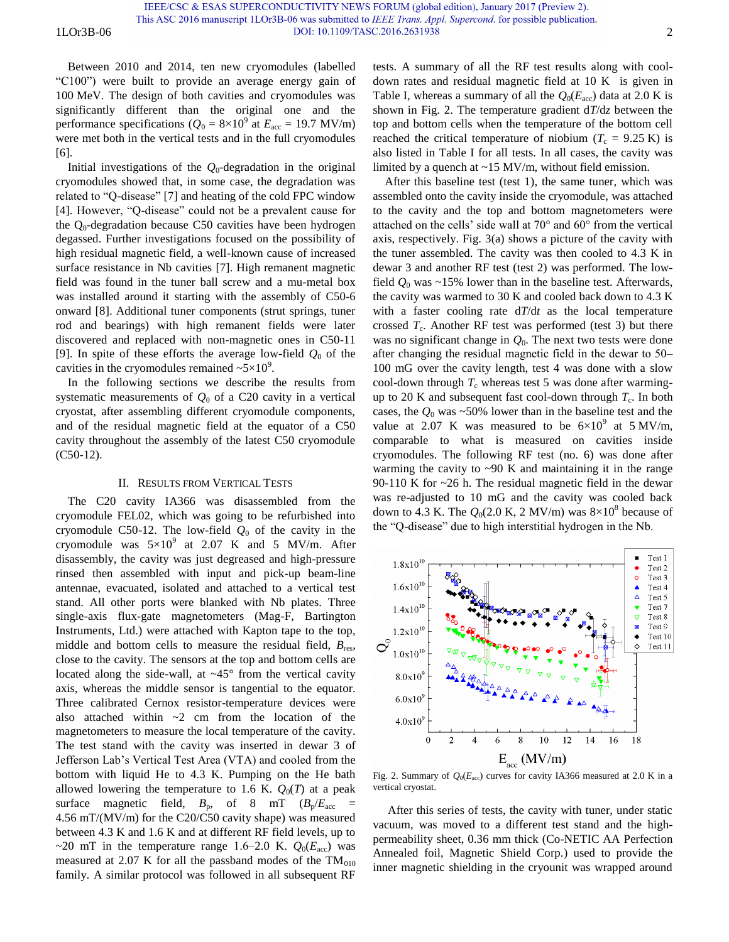1LOr3B-06 DOI: 10.1109/TASC.2016.2631938 2

Between 2010 and 2014, ten new cryomodules (labelled "C100") were built to provide an average energy gain of 100 MeV. The design of both cavities and cryomodules was significantly different than the original one and the performance specifications ( $Q_0 = 8 \times 10^9$  at  $E_{\text{acc}} = 19.7 \text{ MV/m}$ ) were met both in the vertical tests and in the full cryomodules [6].

Initial investigations of the  $Q_0$ -degradation in the original cryomodules showed that, in some case, the degradation was related to "Q-disease" [7] and heating of the cold FPC window [4]. However, "Q-disease" could not be a prevalent cause for the  $Q_0$ -degradation because C50 cavities have been hydrogen degassed. Further investigations focused on the possibility of high residual magnetic field, a well-known cause of increased surface resistance in Nb cavities [7]. High remanent magnetic field was found in the tuner ball screw and a mu-metal box was installed around it starting with the assembly of C50-6 onward [8]. Additional tuner components (strut springs, tuner rod and bearings) with high remanent fields were later discovered and replaced with non-magnetic ones in C50-11 [9]. In spite of these efforts the average low-field  $Q_0$  of the cavities in the cryomodules remained  $\sim 5 \times 10^9$ .

In the following sections we describe the results from systematic measurements of  $Q_0$  of a C20 cavity in a vertical cryostat, after assembling different cryomodule components, and of the residual magnetic field at the equator of a C50 cavity throughout the assembly of the latest C50 cryomodule (C50-12).

# II. RESULTS FROM VERTICAL TESTS

The C20 cavity IA366 was disassembled from the cryomodule FEL02, which was going to be refurbished into cryomodule C50-12. The low-field  $Q_0$  of the cavity in the cryomodule was  $5 \times 10^9$  at 2.07 K and 5 MV/m. After disassembly, the cavity was just degreased and high-pressure rinsed then assembled with input and pick-up beam-line antennae, evacuated, isolated and attached to a vertical test stand. All other ports were blanked with Nb plates. Three single-axis flux-gate magnetometers (Mag-F, Bartington Instruments, Ltd.) were attached with Kapton tape to the top, middle and bottom cells to measure the residual field, *B*res, close to the cavity. The sensors at the top and bottom cells are located along the side-wall, at  $\sim45^{\circ}$  from the vertical cavity axis, whereas the middle sensor is tangential to the equator. Three calibrated Cernox resistor-temperature devices were also attached within  $\sim$ 2 cm from the location of the magnetometers to measure the local temperature of the cavity. The test stand with the cavity was inserted in dewar 3 of Jefferson Lab's Vertical Test Area (VTA) and cooled from the bottom with liquid He to 4.3 K. Pumping on the He bath allowed lowering the temperature to 1.6 K.  $Q_0(T)$  at a peak surface magnetic field,  $B_p$ , of 8 mT  $(B_p/E_{\text{acc}}$  = 4.56 mT/(MV/m) for the C20/C50 cavity shape) was measured between 4.3 K and 1.6 K and at different RF field levels, up to  $\sim$ 20 mT in the temperature range 1.6–2.0 K.  $Q_0(E_{\text{acc}})$  was measured at 2.07 K for all the passband modes of the  $TM<sub>010</sub>$ family. A similar protocol was followed in all subsequent RF

tests. A summary of all the RF test results along with cooldown rates and residual magnetic field at 10 K is given in Table I, whereas a summary of all the  $Q_0(E_{\text{acc}})$  data at 2.0 K is shown in Fig. 2. The temperature gradient d*T*/d*z* between the top and bottom cells when the temperature of the bottom cell reached the critical temperature of niobium ( $T_c = 9.25 \text{ K}$ ) is also listed in Table I for all tests. In all cases, the cavity was limited by a quench at ~15 MV/m, without field emission.

After this baseline test (test 1), the same tuner, which was assembled onto the cavity inside the cryomodule, was attached to the cavity and the top and bottom magnetometers were attached on the cells' side wall at 70° and 60° from the vertical axis, respectively. Fig. 3(a) shows a picture of the cavity with the tuner assembled. The cavity was then cooled to 4.3 K in dewar 3 and another RF test (test 2) was performed. The lowfield  $Q_0$  was  $\sim$ 15% lower than in the baseline test. Afterwards, the cavity was warmed to 30 K and cooled back down to 4.3 K with a faster cooling rate d*T*/d*t* as the local temperature crossed  $T_c$ . Another RF test was performed (test 3) but there was no significant change in *Q*0. The next two tests were done after changing the residual magnetic field in the dewar to 50– 100 mG over the cavity length, test 4 was done with a slow cool-down through  $T_c$  whereas test 5 was done after warmingup to 20 K and subsequent fast cool-down through  $T_c$ . In both cases, the  $Q_0$  was  $\sim$  50% lower than in the baseline test and the value at 2.07 K was measured to be  $6 \times 10^9$  at 5 MV/m, comparable to what is measured on cavities inside cryomodules. The following RF test (no. 6) was done after warming the cavity to  $\sim$ 90 K and maintaining it in the range 90-110 K for  $\sim$ 26 h. The residual magnetic field in the dewar was re-adjusted to 10 mG and the cavity was cooled back down to 4.3 K. The  $Q_0(2.0 \text{ K}, 2 \text{ MV/m})$  was  $8\times10^8$  because of the "Q-disease" due to high interstitial hydrogen in the Nb.



Fig. 2. Summary of  $Q_0(E_{\text{acc}})$  curves for cavity IA366 measured at 2.0 K in a vertical cryostat.

 After this series of tests, the cavity with tuner, under static vacuum, was moved to a different test stand and the highpermeability sheet, 0.36 mm thick (Co-NETIC AA Perfection Annealed foil, Magnetic Shield Corp.) used to provide the inner magnetic shielding in the cryounit was wrapped around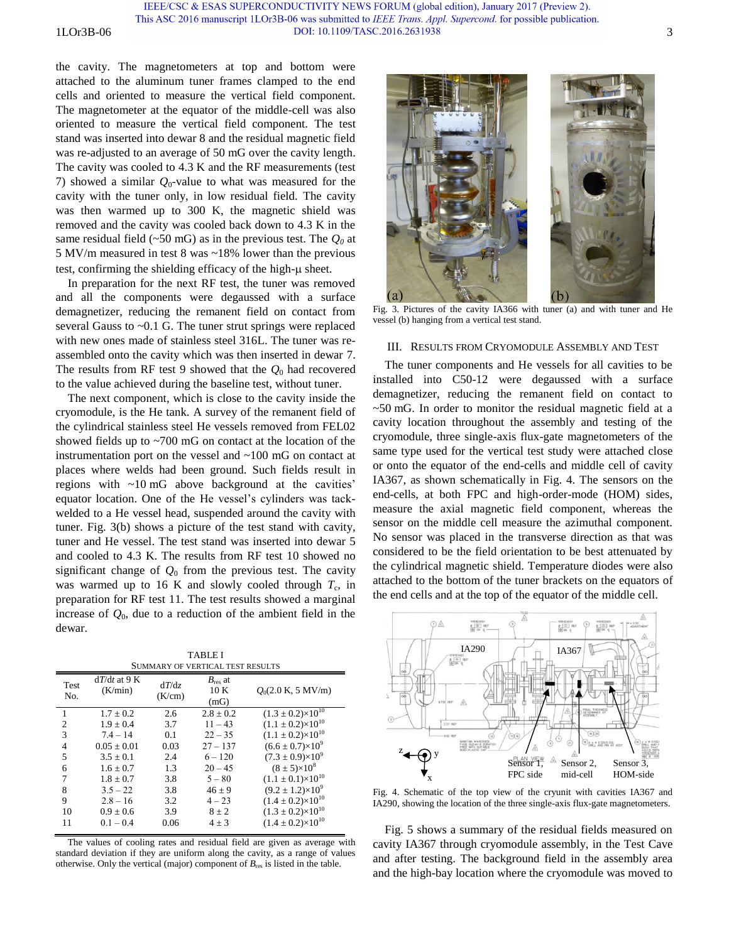IEEE/CSC & ESAS SUPERCONDUCTIVITY NEWS FORUM (global edition), January 2017 (Preview 2). This ASC 2016 manuscript 1LOr3B-06 was submitted to IEEE Trans. Appl. Supercond. for possible publication. 1LOr3B-06 3

the cavity. The magnetometers at top and bottom were attached to the aluminum tuner frames clamped to the end cells and oriented to measure the vertical field component. The magnetometer at the equator of the middle-cell was also oriented to measure the vertical field component. The test stand was inserted into dewar 8 and the residual magnetic field was re-adjusted to an average of 50 mG over the cavity length. The cavity was cooled to 4.3 K and the RF measurements (test 7) showed a similar  $Q_0$ -value to what was measured for the cavity with the tuner only, in low residual field. The cavity was then warmed up to 300 K, the magnetic shield was removed and the cavity was cooled back down to 4.3 K in the same residual field (~50 mG) as in the previous test. The *Q0* at 5 MV/m measured in test 8 was ~18% lower than the previous test, confirming the shielding efficacy of the high- $\mu$  sheet.

In preparation for the next RF test, the tuner was removed and all the components were degaussed with a surface demagnetizer, reducing the remanent field on contact from several Gauss to ~0.1 G. The tuner strut springs were replaced with new ones made of stainless steel 316L. The tuner was reassembled onto the cavity which was then inserted in dewar 7. The results from RF test 9 showed that the  $Q_0$  had recovered to the value achieved during the baseline test, without tuner.

The next component, which is close to the cavity inside the cryomodule, is the He tank. A survey of the remanent field of the cylindrical stainless steel He vessels removed from FEL02 showed fields up to ~700 mG on contact at the location of the instrumentation port on the vessel and ~100 mG on contact at places where welds had been ground. Such fields result in regions with ~10 mG above background at the cavities' equator location. One of the He vessel's cylinders was tackwelded to a He vessel head, suspended around the cavity with tuner. Fig. 3(b) shows a picture of the test stand with cavity, tuner and He vessel. The test stand was inserted into dewar 5 and cooled to 4.3 K. The results from RF test 10 showed no significant change of  $Q_0$  from the previous test. The cavity was warmed up to 16 K and slowly cooled through  $T_c$ , in preparation for RF test 11. The test results showed a marginal increase of  $Q_0$ , due to a reduction of the ambient field in the dewar.

TABLE I SUMMARY OF VERTICAL TEST RESULTS

| Test<br>No.    | $dT/dt$ at 9 K<br>(K/min) | dT/dz<br>(K/cm) | $B_{\text{res}}$ at<br>10 K<br>(mG) | $Q_0(2.0 \text{ K}, 5 \text{ MV/m})$ |
|----------------|---------------------------|-----------------|-------------------------------------|--------------------------------------|
| 1              | $1.7 + 0.2$               | 2.6             | $2.8 + 0.2$                         | $(1.3 \pm 0.2) \times 10^{10}$       |
| $\overline{c}$ | $1.9 + 0.4$               | 3.7             | $11 - 43$                           | $(1.1 \pm 0.2) \times 10^{10}$       |
| 3              | $7.4 - 14$                | 0.1             | $22 - 35$                           | $(1.1 \pm 0.2) \times 10^{10}$       |
| 4              | $0.05 \pm 0.01$           | 0.03            | $27 - 137$                          | $(6.6 \pm 0.7) \times 10^9$          |
| 5              | $3.5 + 0.1$               | 2.4             | $6 - 120$                           | $(7.3 \pm 0.9) \times 10^9$          |
| 6              | $1.6 + 0.7$               | 1.3             | $20 - 45$                           | $(8 \pm 5) \times 10^8$              |
| 7              | $1.8 \pm 0.7$             | 3.8             | $5 - 80$                            | $(1.1 \pm 0.1)\times10^{10}$         |
| 8              | $3.5 - 22$                | 3.8             | $46 \pm 9$                          | $(9.2 \pm 1.2) \times 10^{9}$        |
| 9              | $2.8 - 16$                | 3.2             | $4 - 23$                            | $(1.4 \pm 0.2) \times 10^{10}$       |
| 10             | $0.9 \pm 0.6$             | 3.9             | $8 \pm 2$                           | $(1.3 \pm 0.2) \times 10^{10}$       |
| 11             | $0.1 - 0.4$               | 0.06            | $4 \pm 3$                           | $(1.4 \pm 0.2) \times 10^{10}$       |

The values of cooling rates and residual field are given as average with standard deviation if they are uniform along the cavity, as a range of values otherwise. Only the vertical (major) component of  $B_{\text{res}}$  is listed in the table.

 $(a)$  $\overline{b}$ 

Fig. 3. Pictures of the cavity IA366 with tuner (a) and with tuner and He vessel (b) hanging from a vertical test stand.

## III. RESULTS FROM CRYOMODULE ASSEMBLY AND TEST

The tuner components and He vessels for all cavities to be installed into C50-12 were degaussed with a surface demagnetizer, reducing the remanent field on contact to ~50 mG. In order to monitor the residual magnetic field at a cavity location throughout the assembly and testing of the cryomodule, three single-axis flux-gate magnetometers of the same type used for the vertical test study were attached close or onto the equator of the end-cells and middle cell of cavity IA367, as shown schematically in Fig. 4. The sensors on the end-cells, at both FPC and high-order-mode (HOM) sides, measure the axial magnetic field component, whereas the sensor on the middle cell measure the azimuthal component. No sensor was placed in the transverse direction as that was considered to be the field orientation to be best attenuated by the cylindrical magnetic shield. Temperature diodes were also attached to the bottom of the tuner brackets on the equators of the end cells and at the top of the equator of the middle cell.



Fig. 4. Schematic of the top view of the cryunit with cavities IA367 and IA290, showing the location of the three single-axis flux-gate magnetometers.

Fig. 5 shows a summary of the residual fields measured on cavity IA367 through cryomodule assembly, in the Test Cave and after testing. The background field in the assembly area and the high-bay location where the cryomodule was moved to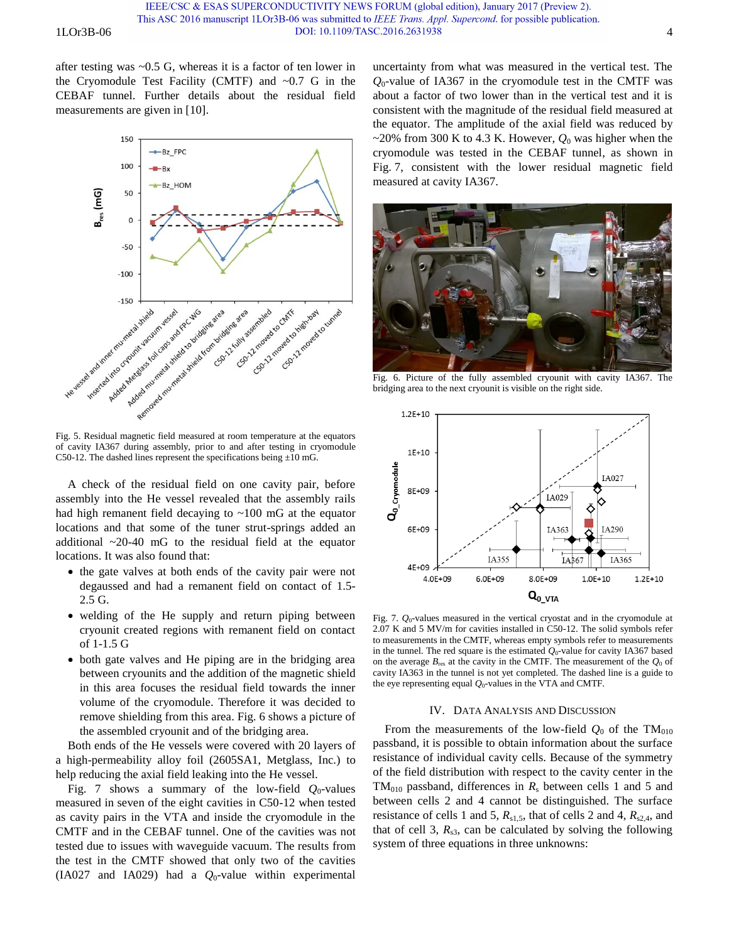after testing was ~0.5 G, whereas it is a factor of ten lower in the Cryomodule Test Facility (CMTF) and  $\sim 0.7$  G in the CEBAF tunnel. Further details about the residual field measurements are given in [10].



Fig. 5. Residual magnetic field measured at room temperature at the equators of cavity IA367 during assembly, prior to and after testing in cryomodule C50-12. The dashed lines represent the specifications being  $\pm 10$  mG.

A check of the residual field on one cavity pair, before assembly into the He vessel revealed that the assembly rails had high remanent field decaying to  $\sim 100$  mG at the equator locations and that some of the tuner strut-springs added an additional ~20-40 mG to the residual field at the equator locations. It was also found that:

- the gate valves at both ends of the cavity pair were not degaussed and had a remanent field on contact of 1.5- 2.5 G.
- welding of the He supply and return piping between cryounit created regions with remanent field on contact of 1-1.5 G
- both gate valves and He piping are in the bridging area between cryounits and the addition of the magnetic shield in this area focuses the residual field towards the inner volume of the cryomodule. Therefore it was decided to remove shielding from this area. Fig. 6 shows a picture of the assembled cryounit and of the bridging area.

Both ends of the He vessels were covered with 20 layers of a high-permeability alloy foil (2605SA1, Metglass, Inc.) to help reducing the axial field leaking into the He vessel.

Fig. 7 shows a summary of the low-field  $Q_0$ -values measured in seven of the eight cavities in C50-12 when tested as cavity pairs in the VTA and inside the cryomodule in the CMTF and in the CEBAF tunnel. One of the cavities was not tested due to issues with waveguide vacuum. The results from the test in the CMTF showed that only two of the cavities (IA027 and IA029) had a *Q*0-value within experimental

uncertainty from what was measured in the vertical test. The *Q*0-value of IA367 in the cryomodule test in the CMTF was about a factor of two lower than in the vertical test and it is consistent with the magnitude of the residual field measured at the equator. The amplitude of the axial field was reduced by  $\sim$ 20% from 300 K to 4.3 K. However,  $Q_0$  was higher when the cryomodule was tested in the CEBAF tunnel, as shown in Fig. 7, consistent with the lower residual magnetic field measured at cavity IA367.



Fig. 6. Picture of the fully assembled cryounit with cavity IA367. The bridging area to the next cryounit is visible on the right side.



Fig. 7.  $Q_0$ -values measured in the vertical cryostat and in the cryomodule at 2.07 K and 5 MV/m for cavities installed in C50-12. The solid symbols refer to measurements in the CMTF, whereas empty symbols refer to measurements in the tunnel. The red square is the estimated  $Q_0$ -value for cavity IA367 based on the average  $B_{\text{res}}$  at the cavity in the CMTF. The measurement of the  $Q_0$  of cavity IA363 in the tunnel is not yet completed. The dashed line is a guide to the eye representing equal *Q*0-values in the VTA and CMTF.

### IV. DATA ANALYSIS AND DISCUSSION

From the measurements of the low-field  $Q_0$  of the TM<sub>010</sub> passband, it is possible to obtain information about the surface resistance of individual cavity cells. Because of the symmetry of the field distribution with respect to the cavity center in the  $TM<sub>010</sub>$  passband, differences in  $R<sub>s</sub>$  between cells 1 and 5 and between cells 2 and 4 cannot be distinguished. The surface resistance of cells 1 and 5,  $R_{s1,5}$ , that of cells 2 and 4,  $R_{s2,4}$ , and that of cell 3,  $R_{s3}$ , can be calculated by solving the following system of three equations in three unknowns: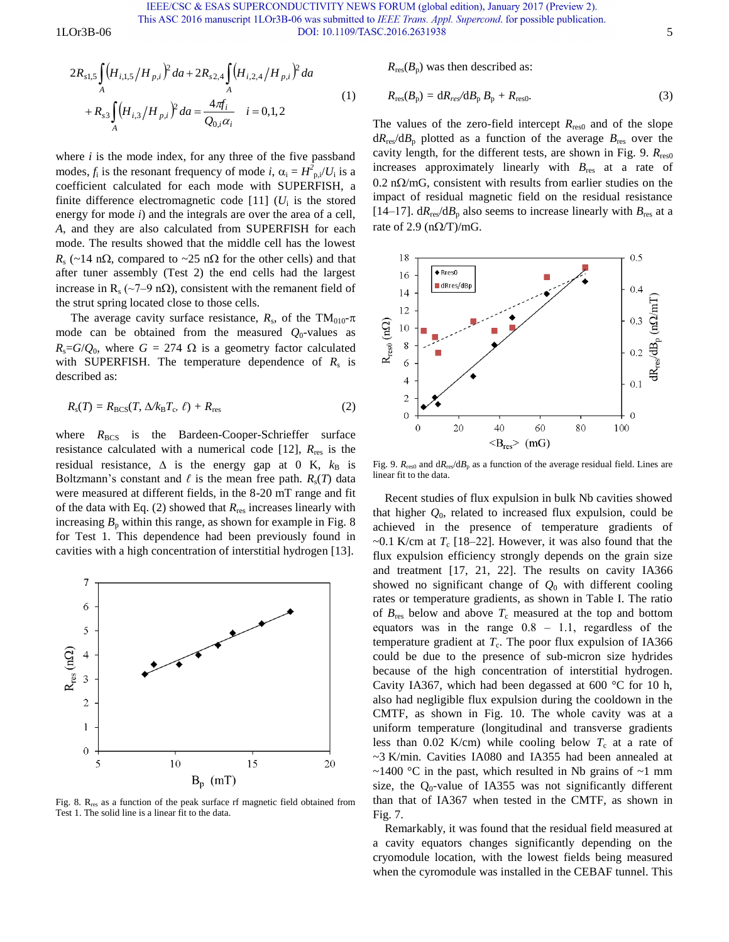IEEE/CSC & ESAS SUPERCONDUCTIVITY NEWS FORUM (global edition), January 2017 (Preview 2).

This ASC 2016 manuscript 1LOr3B-06 was submitted to IEEE Trans. Appl. Supercond. for possible publication. 1LOr3B-06 55 DOI: 10.1109/TASC.2016.2631938 5

Or3B-06

\nDOI: 
$$
10.11097
$$

\n
$$
2R_{s1,5} \int_{A} \left( H_{i,1,5} / H_{p,i} \right)^{2} da + 2R_{s2,4} \int_{A} \left( H_{i,2,4} / H_{p,i} \right)^{2} da
$$

\n
$$
+ R_{s3} \int_{A} \left( H_{i,3} / H_{p,i} \right)^{2} da = \frac{4\pi f_{i}}{Q_{0,i} \alpha_{i}} \quad i = 0,1,2
$$

\n(1)

where  $i$  is the mode index, for any three of the five passband modes,  $f_i$  is the resonant frequency of mode *i*,  $\alpha_i = H_{p,i}^2/U_i$  is a coefficient calculated for each mode with SUPERFISH, a finite difference electromagnetic code  $[11]$  ( $U_i$  is the stored energy for mode *i*) and the integrals are over the area of a cell, *A*, and they are also calculated from SUPERFISH for each mode. The results showed that the middle cell has the lowest  $R_s$  (~14 n $\Omega$ , compared to ~25 n $\Omega$  for the other cells) and that after tuner assembly (Test 2) the end cells had the largest increase in R<sub>s</sub> (~7–9 n $\Omega$ ), consistent with the remanent field of the strut spring located close to those cells.

The average cavity surface resistance,  $R_s$ , of the TM<sub>010</sub>- $\pi$ mode can be obtained from the measured  $Q_0$ -values as  $R_s = G/Q_0$ , where  $G = 274 \Omega$  is a geometry factor calculated with SUPERFISH. The temperature dependence of  $R_s$  is described as:

$$
R_{\rm s}(T) = R_{\rm BCS}(T, \Delta/k_{\rm B}T_{\rm c}, \ell) + R_{\rm res}
$$
 (2)

where  $R_{BCS}$  is the Bardeen-Cooper-Schrieffer surface resistance calculated with a numerical code [12],  $R_{res}$  is the residual resistance,  $\Delta$  is the energy gap at 0 K,  $k_B$  is Boltzmann's constant and  $\ell$  is the mean free path.  $R_s(T)$  data were measured at different fields, in the 8-20 mT range and fit of the data with Eq. (2) showed that *R*res increases linearly with increasing  $B<sub>p</sub>$  within this range, as shown for example in Fig. 8 for Test 1. This dependence had been previously found in cavities with a high concentration of interstitial hydrogen [13].



Fig. 8. R<sub>res</sub> as a function of the peak surface rf magnetic field obtained from Test 1. The solid line is a linear fit to the data.

 $R_{res}(B_n)$  was then described as:

$$
R_{\rm res}(B_{\rm p}) = dR_{\rm res}/dB_{\rm p} B_{\rm p} + R_{\rm res0}.
$$
 (3)

The values of the zero-field intercept  $R_{\text{res0}}$  and of the slope  $dR_{res}/dB_p$  plotted as a function of the average  $B_{res}$  over the cavity length, for the different tests, are shown in Fig. 9.  $R_{res0}$ increases approximately linearly with *B*res at a rate of  $0.2$  n $\Omega/m$ G, consistent with results from earlier studies on the impact of residual magnetic field on the residual resistance [14–17].  $dR_{res}/dB_p$  also seems to increase linearly with  $B_{res}$  at a rate of 2.9 ( $n\Omega/T$ )/mG.



Fig. 9.  $R_{res0}$  and  $dR_{res}/dB_p$  as a function of the average residual field. Lines are linear fit to the data.

Recent studies of flux expulsion in bulk Nb cavities showed that higher  $Q_0$ , related to increased flux expulsion, could be achieved in the presence of temperature gradients of  $\sim$ 0.1 K/cm at  $T_c$  [18–22]. However, it was also found that the flux expulsion efficiency strongly depends on the grain size and treatment [17, 21, 22]. The results on cavity IA366 showed no significant change of *Q*0 with different cooling rates or temperature gradients, as shown in Table I. The ratio of  $B_{\text{res}}$  below and above  $T_c$  measured at the top and bottom equators was in the range  $0.8 - 1.1$ , regardless of the temperature gradient at  $T_c$ . The poor flux expulsion of IA366 could be due to the presence of sub-micron size hydrides because of the high concentration of interstitial hydrogen. Cavity IA367, which had been degassed at 600 °C for 10 h, also had negligible flux expulsion during the cooldown in the CMTF, as shown in Fig. 10. The whole cavity was at a uniform temperature (longitudinal and transverse gradients less than 0.02 K/cm) while cooling below  $T_c$  at a rate of ~3 K/min. Cavities IA080 and IA355 had been annealed at  $\sim$ 1400 °C in the past, which resulted in Nb grains of  $\sim$ 1 mm size, the  $Q_0$ -value of IA355 was not significantly different than that of IA367 when tested in the CMTF, as shown in Fig. 7.

Remarkably, it was found that the residual field measured at a cavity equators changes significantly depending on the cryomodule location, with the lowest fields being measured when the cyromodule was installed in the CEBAF tunnel. This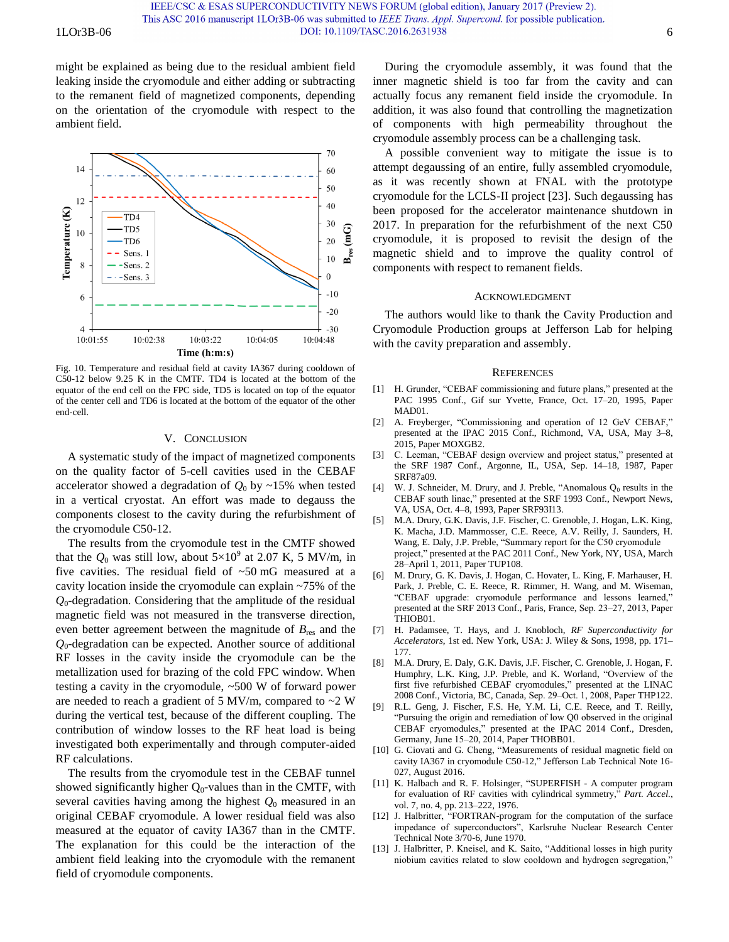might be explained as being due to the residual ambient field leaking inside the cryomodule and either adding or subtracting to the remanent field of magnetized components, depending on the orientation of the cryomodule with respect to the ambient field.



Fig. 10. Temperature and residual field at cavity IA367 during cooldown of C50-12 below 9.25 K in the CMTF. TD4 is located at the bottom of the equator of the end cell on the FPC side, TD5 is located on top of the equator of the center cell and TD6 is located at the bottom of the equator of the other end-cell.

# V. CONCLUSION

A systematic study of the impact of magnetized components on the quality factor of 5-cell cavities used in the CEBAF accelerator showed a degradation of  $Q_0$  by ~15% when tested in a vertical cryostat. An effort was made to degauss the components closest to the cavity during the refurbishment of the cryomodule C50-12.

The results from the cryomodule test in the CMTF showed that the  $Q_0$  was still low, about  $5 \times 10^9$  at 2.07 K, 5 MV/m, in five cavities. The residual field of ~50 mG measured at a cavity location inside the cryomodule can explain ~75% of the *Q*0-degradation. Considering that the amplitude of the residual magnetic field was not measured in the transverse direction, even better agreement between the magnitude of  $B_{res}$  and the *Q*0-degradation can be expected. Another source of additional RF losses in the cavity inside the cryomodule can be the metallization used for brazing of the cold FPC window. When testing a cavity in the cryomodule, ~500 W of forward power are needed to reach a gradient of 5 MV/m, compared to  $\sim$ 2 W during the vertical test, because of the different coupling. The contribution of window losses to the RF heat load is being investigated both experimentally and through computer-aided RF calculations.

The results from the cryomodule test in the CEBAF tunnel showed significantly higher  $Q_0$ -values than in the CMTF, with several cavities having among the highest  $Q_0$  measured in an original CEBAF cryomodule. A lower residual field was also measured at the equator of cavity IA367 than in the CMTF. The explanation for this could be the interaction of the ambient field leaking into the cryomodule with the remanent field of cryomodule components.

During the cryomodule assembly, it was found that the inner magnetic shield is too far from the cavity and can actually focus any remanent field inside the cryomodule. In addition, it was also found that controlling the magnetization of components with high permeability throughout the cryomodule assembly process can be a challenging task.

A possible convenient way to mitigate the issue is to attempt degaussing of an entire, fully assembled cryomodule, as it was recently shown at FNAL with the prototype cryomodule for the LCLS-II project [23]. Such degaussing has been proposed for the accelerator maintenance shutdown in 2017. In preparation for the refurbishment of the next C50 cryomodule, it is proposed to revisit the design of the magnetic shield and to improve the quality control of components with respect to remanent fields.

#### ACKNOWLEDGMENT

The authors would like to thank the Cavity Production and Cryomodule Production groups at Jefferson Lab for helping with the cavity preparation and assembly.

### **REFERENCES**

- [1] H. Grunder, "CEBAF commissioning and future plans," presented at the PAC 1995 Conf., Gif sur Yvette, France, Oct. 17–20, 1995, Paper MAD01.
- [2] A. Freyberger, "Commissioning and operation of 12 GeV CEBAF," presented at the IPAC 2015 Conf., Richmond, VA, USA, May 3–8, 2015, Paper MOXGB2.
- [3] C. Leeman, "CEBAF design overview and project status," presented at the SRF 1987 Conf., Argonne, IL, USA, Sep. 14–18, 1987, Paper SRF87a09.
- [4] W. J. Schneider, M. Drury, and J. Preble, "Anomalous  $Q_0$  results in the CEBAF south linac," presented at the SRF 1993 Conf., Newport News, VA, USA, Oct. 4–8, 1993, Paper SRF93I13.
- [5] M.A. Drury, G.K. Davis, J.F. Fischer, C. Grenoble, J. Hogan, L.K. King, K. Macha, J.D. Mammosser, C.E. Reece, A.V. Reilly, J. Saunders, H. Wang, E. Daly, J.P. Preble, "Summary report for the C50 cryomodule project," presented at the PAC 2011 Conf., New York, NY, USA, March 28–April 1, 2011, Paper TUP108.
- [6] M. Drury, G. K. Davis, J. Hogan, C. Hovater, L. King, F. Marhauser, H. Park, J. Preble, C. E. Reece, R. Rimmer, H. Wang, and M. Wiseman, "CEBAF upgrade: cryomodule performance and lessons learned," presented at the SRF 2013 Conf., Paris, France, Sep. 23-27, 2013, Paper THIOB01.
- [7] H. Padamsee, T. Hays, and J. Knobloch, *RF Superconductivity for Accelerators*, 1st ed. New York, USA: J. Wiley & Sons, 1998, pp. 171‒ 177.
- [8] M.A. Drury, E. Daly, G.K. Davis, J.F. Fischer, C. Grenoble, J. Hogan, F. Humphry, L.K. King, J.P. Preble, and K. Worland, "Overview of the first five refurbished CEBAF cryomodules," presented at the LINAC 2008 Conf., Victoria, BC, Canada, Sep. 29‒Oct. 1, 2008, Paper THP122.
- [9] R.L. Geng, J. Fischer, F.S. He, Y.M. Li, C.E. Reece, and T. Reilly, "Pursuing the origin and remediation of low Q0 observed in the original CEBAF cryomodules," presented at the IPAC 2014 Conf., Dresden, Germany, June 15-20, 2014, Paper THOBB01.
- [10] G. Ciovati and G. Cheng, "Measurements of residual magnetic field on cavity IA367 in cryomodule C50-12," Jefferson Lab Technical Note 16- 027, August 2016.
- [11] K. Halbach and R. F. Holsinger, "SUPERFISH A computer program for evaluation of RF cavities with cylindrical symmetry," *Part. Accel.*, vol. 7, no. 4, pp. 213–222, 1976.
- [12] J. Halbritter, "FORTRAN-program for the computation of the surface impedance of superconductors", Karlsruhe Nuclear Research Center Technical Note 3/70-6, June 1970.
- [13] J. Halbritter, P. Kneisel, and K. Saito, "Additional losses in high purity niobium cavities related to slow cooldown and hydrogen segregation,"